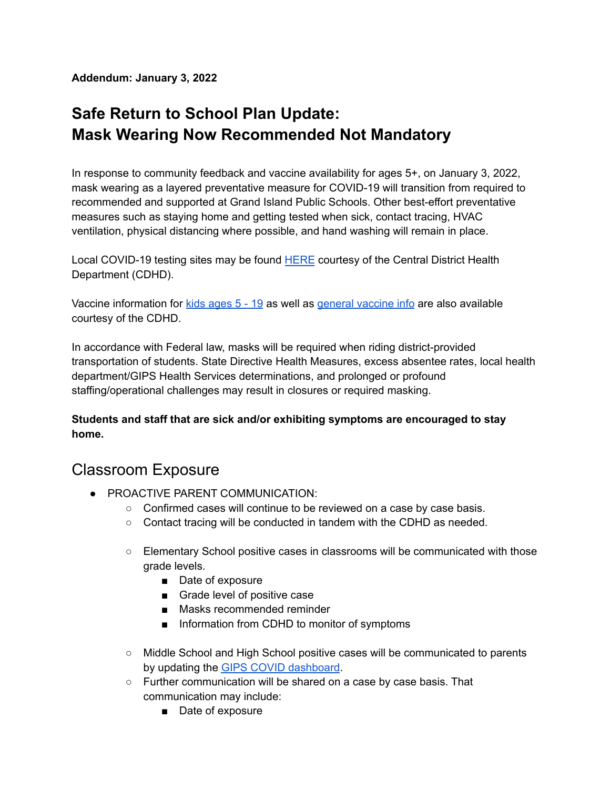**Addendum: January 3, 2022**

### **Safe Return to School Plan Update: Mask Wearing Now Recommended Not Mandatory**

In response to community feedback and vaccine availability for ages 5+, on January 3, 2022, mask wearing as a layered preventative measure for COVID-19 will transition from required to recommended and supported at Grand Island Public Schools. Other best-effort preventative measures such as staying home and getting tested when sick, contact tracing, HVAC ventilation, physical distancing where possible, and hand washing will remain in place.

Local COVID-19 testing sites may be found [HERE](https://cdhd.ne.gov/covid-19/testing.html) courtesy of the Central District Health Department (CDHD).

Vaccine information for  $kids$  [ages](https://cdhd.ne.gov/covid-19/vaccines-for-kids-age-5-11.html)  $5 - 19$  as well as general [vaccine](https://cdhd.ne.gov/covid-19/vaccine-info-and-videos.html) info are also available courtesy of the CDHD.

In accordance with Federal law, masks will be required when riding district-provided transportation of students. State Directive Health Measures, excess absentee rates, local health department/GIPS Health Services determinations, and prolonged or profound staffing/operational challenges may result in closures or required masking.

**Students and staff that are sick and/or exhibiting symptoms are encouraged to stay home.**

#### Classroom Exposure

- PROACTIVE PARENT COMMUNICATION:
	- Confirmed cases will continue to be reviewed on a case by case basis.
	- Contact tracing will be conducted in tandem with the CDHD as needed.
	- Elementary School positive cases in classrooms will be communicated with those grade levels.
		- Date of exposure
		- Grade level of positive case
		- Masks recommended reminder
		- Information from CDHD to monitor of symptoms
	- Middle School and High School positive cases will be communicated to parents by updating the GIPS COVID [dashboard](https://www.gips.org/about-gips/gips-covid-19-updates.html).
	- Further communication will be shared on a case by case basis. That communication may include:
		- Date of exposure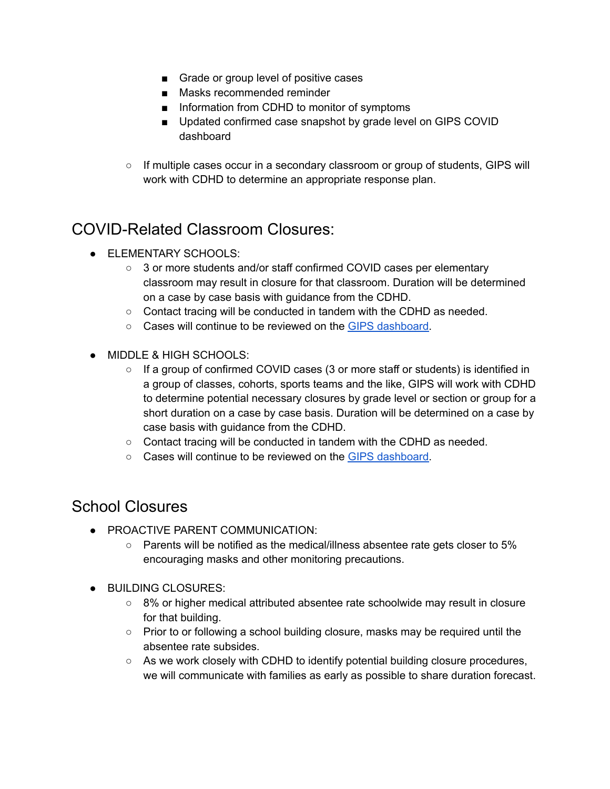- Grade or group level of positive cases
- Masks recommended reminder
- Information from CDHD to monitor of symptoms
- Updated confirmed case snapshot by grade level on GIPS COVID dashboard
- If multiple cases occur in a secondary classroom or group of students, GIPS will work with CDHD to determine an appropriate response plan.

### COVID-Related Classroom Closures:

- **ELEMENTARY SCHOOLS:** 
	- 3 or more students and/or staff confirmed COVID cases per elementary classroom may result in closure for that classroom. Duration will be determined on a case by case basis with guidance from the CDHD.
	- Contact tracing will be conducted in tandem with the CDHD as needed.
	- Cases will continue to be reviewed on the GIPS [dashboard.](https://www.gips.org/about-gips/gips-covid-19-updates.html)
- MIDDLE & HIGH SCHOOLS:
	- If a group of confirmed COVID cases (3 or more staff or students) is identified in a group of classes, cohorts, sports teams and the like, GIPS will work with CDHD to determine potential necessary closures by grade level or section or group for a short duration on a case by case basis. Duration will be determined on a case by case basis with guidance from the CDHD.
	- $\circ$  Contact tracing will be conducted in tandem with the CDHD as needed.
	- Cases will continue to be reviewed on the GIPS [dashboard.](https://www.gips.org/about-gips/gips-covid-19-updates.html)

#### School Closures

- PROACTIVE PARENT COMMUNICATION:
	- $\circ$  Parents will be notified as the medical/illness absentee rate gets closer to 5% encouraging masks and other monitoring precautions.
- BUILDING CLOSURES:
	- 8% or higher medical attributed absentee rate schoolwide may result in closure for that building.
	- Prior to or following a school building closure, masks may be required until the absentee rate subsides.
	- As we work closely with CDHD to identify potential building closure procedures, we will communicate with families as early as possible to share duration forecast.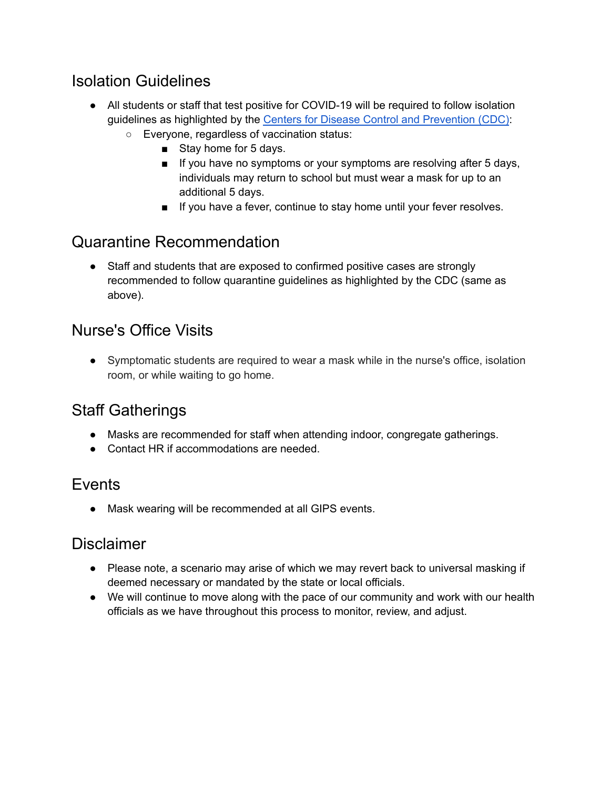### Isolation Guidelines

- All students or staff that test positive for COVID-19 will be required to follow isolation guidelines as highlighted by the Centers for Disease Control and [Prevention](https://www.cdc.gov/media/releases/2021/s1227-isolation-quarantine-guidance.html) (CDC):
	- Everyone, regardless of vaccination status:
		- Stay home for 5 days.
		- If you have no symptoms or your symptoms are resolving after 5 days, individuals may return to school but must wear a mask for up to an additional 5 days.
		- If you have a fever, continue to stay home until your fever resolves.

### Quarantine Recommendation

• Staff and students that are exposed to confirmed positive cases are strongly recommended to follow quarantine guidelines as highlighted by the CDC (same as above).

#### Nurse's Office Visits

● Symptomatic students are required to wear a mask while in the nurse's office, isolation room, or while waiting to go home.

### Staff Gatherings

- Masks are recommended for staff when attending indoor, congregate gatherings.
- Contact HR if accommodations are needed.

#### Events

● Mask wearing will be recommended at all GIPS events.

#### Disclaimer

- Please note, a scenario may arise of which we may revert back to universal masking if deemed necessary or mandated by the state or local officials.
- We will continue to move along with the pace of our community and work with our health officials as we have throughout this process to monitor, review, and adjust.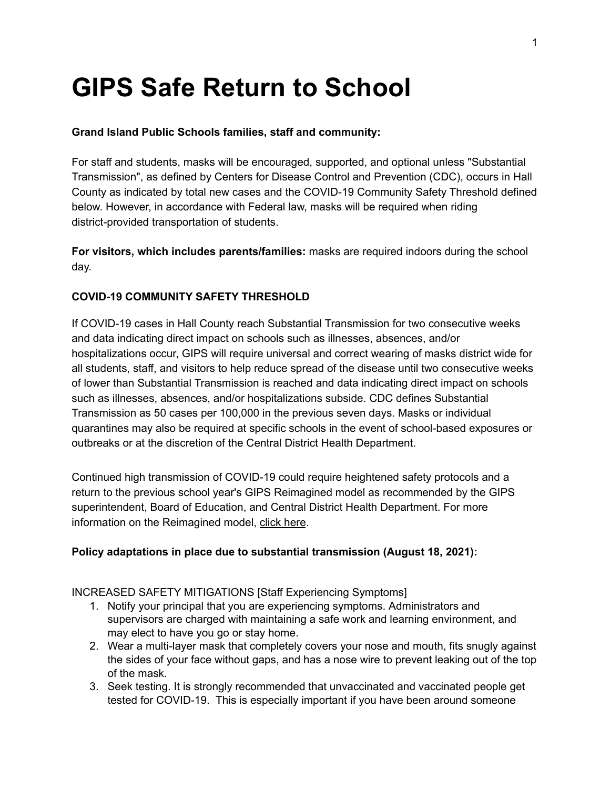# **GIPS Safe Return to School**

#### **Grand Island Public Schools families, staff and community:**

For staff and students, masks will be encouraged, supported, and optional unless "Substantial Transmission", as defined by Centers for Disease Control and Prevention (CDC), occurs in Hall County as indicated by total new cases and the COVID-19 Community Safety Threshold defined below. However, in accordance with Federal law, masks will be required when riding district-provided transportation of students.

**For visitors, which includes parents/families:** masks are required indoors during the school day.

#### **COVID-19 COMMUNITY SAFETY THRESHOLD**

If COVID-19 cases in Hall County reach Substantial Transmission for two consecutive weeks and data indicating direct impact on schools such as illnesses, absences, and/or hospitalizations occur, GIPS will require universal and correct wearing of masks district wide for all students, staff, and visitors to help reduce spread of the disease until two consecutive weeks of lower than Substantial Transmission is reached and data indicating direct impact on schools such as illnesses, absences, and/or hospitalizations subside. CDC defines Substantial Transmission as 50 cases per 100,000 in the previous seven days. Masks or individual quarantines may also be required at specific schools in the event of school-based exposures or outbreaks or at the discretion of the Central District Health Department.

Continued high transmission of COVID-19 could require heightened safety protocols and a return to the previous school year's GIPS Reimagined model as recommended by the GIPS superintendent, Board of Education, and Central District Health Department. For more information on the Reimagined model, click [here](https://www.gips.org/Reimagined).

#### **Policy adaptations in place due to substantial transmission (August 18, 2021):**

#### INCREASED SAFETY MITIGATIONS [Staff Experiencing Symptoms]

- 1. Notify your principal that you are experiencing symptoms. Administrators and supervisors are charged with maintaining a safe work and learning environment, and may elect to have you go or stay home.
- 2. Wear a multi-layer mask that completely covers your nose and mouth, fits snugly against the sides of your face without gaps, and has a nose wire to prevent leaking out of the top of the mask.
- 3. Seek testing. It is strongly recommended that unvaccinated and vaccinated people get tested for COVID-19. This is especially important if you have been around someone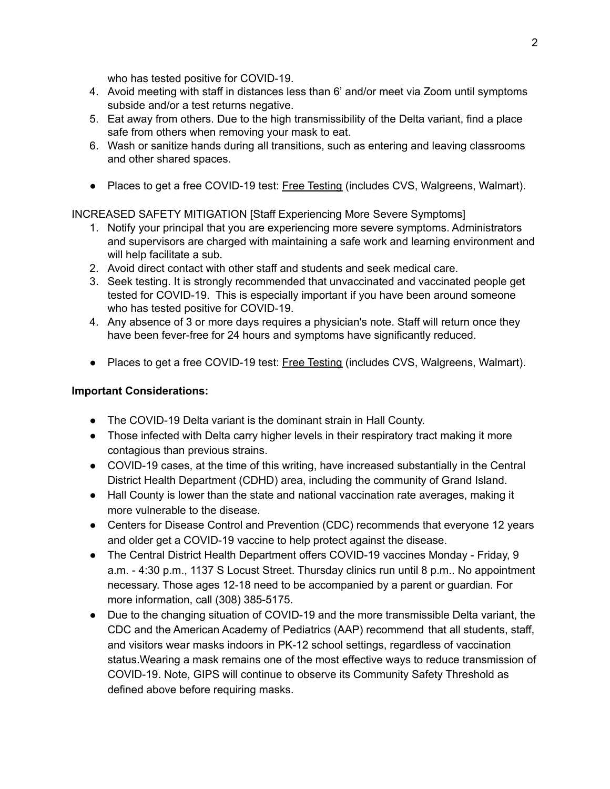who has tested positive for COVID-19.

- 4. Avoid meeting with staff in distances less than 6' and/or meet via Zoom until symptoms subside and/or a test returns negative.
- 5. Eat away from others. Due to the high transmissibility of the Delta variant, find a place safe from others when removing your mask to eat.
- 6. Wash or sanitize hands during all transitions, such as entering and leaving classrooms and other shared spaces.
- Places to get a free COVID-19 test: Free [Testing](https://www.hhs.gov/coronavirus/community-based-testing-sites/index.html) (includes CVS, Walgreens, Walmart).

#### INCREASED SAFETY MITIGATION [Staff Experiencing More Severe Symptoms]

- 1. Notify your principal that you are experiencing more severe symptoms. Administrators and supervisors are charged with maintaining a safe work and learning environment and will help facilitate a sub.
- 2. Avoid direct contact with other staff and students and seek medical care.
- 3. Seek testing. It is strongly recommended that unvaccinated and vaccinated people get tested for COVID-19. This is especially important if you have been around someone who has tested positive for COVID-19.
- 4. Any absence of 3 or more days requires a physician's note. Staff will return once they have been fever-free for 24 hours and symptoms have significantly reduced.
- Places to get a free COVID-19 test: Free [Testing](https://www.hhs.gov/coronavirus/community-based-testing-sites/index.html) (includes CVS, Walgreens, Walmart).

#### **Important Considerations:**

- The COVID-19 Delta variant is the dominant strain in Hall County.
- Those infected with Delta carry higher levels in their respiratory tract making it more contagious than previous strains.
- COVID-19 cases, at the time of this writing, have increased substantially in the Central District Health Department (CDHD) area, including the community of Grand Island.
- Hall County is lower than the state and national vaccination rate averages, making it more vulnerable to the disease.
- Centers for Disease Control and Prevention (CDC) recommends that everyone 12 years and older get a COVID-19 vaccine to help protect against the disease.
- The Central District Health Department offers COVID-19 vaccines Monday Friday, 9 a.m. - 4:30 p.m., 1137 S Locust Street. Thursday clinics run until 8 p.m.. No appointment necessary. Those ages 12-18 need to be accompanied by a parent or guardian. For more information, call (308) 385-5175.
- Due to the changing situation of COVID-19 and the more transmissible Delta variant, the CDC and the American Academy of Pediatrics (AAP) recommend that all students, staff, and visitors wear masks indoors in PK-12 school settings, regardless of vaccination status.Wearing a mask remains one of the most effective ways to reduce transmission of COVID-19. Note, GIPS will continue to observe its Community Safety Threshold as defined above before requiring masks.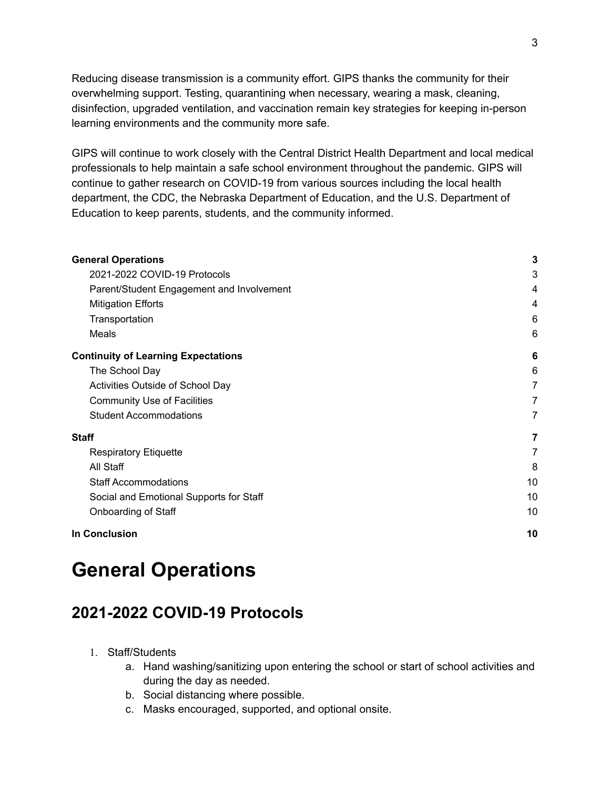Reducing disease transmission is a community effort. GIPS thanks the community for their overwhelming support. Testing, quarantining when necessary, wearing a mask, cleaning, disinfection, upgraded ventilation, and vaccination remain key strategies for keeping in-person learning environments and the community more safe.

GIPS will continue to work closely with the Central District Health Department and local medical professionals to help maintain a safe school environment throughout the pandemic. GIPS will continue to gather research on COVID-19 from various sources including the local health department, the CDC, the Nebraska Department of Education, and the U.S. Department of Education to keep parents, students, and the community informed.

| <b>General Operations</b>                  | 3  |
|--------------------------------------------|----|
| 2021-2022 COVID-19 Protocols               | 3  |
| Parent/Student Engagement and Involvement  | 4  |
| <b>Mitigation Efforts</b>                  | 4  |
| Transportation                             | 6  |
| Meals                                      | 6  |
| <b>Continuity of Learning Expectations</b> | 6  |
| The School Day                             | 6  |
| Activities Outside of School Day           | 7  |
| <b>Community Use of Facilities</b>         | 7  |
| <b>Student Accommodations</b>              | 7  |
| Staff                                      | 7  |
| <b>Respiratory Etiquette</b>               | 7  |
| All Staff                                  | 8  |
| <b>Staff Accommodations</b>                | 10 |
| Social and Emotional Supports for Staff    | 10 |
| Onboarding of Staff                        | 10 |
| <b>In Conclusion</b>                       | 10 |
|                                            |    |

## <span id="page-5-0"></span>**General Operations**

#### <span id="page-5-1"></span>**2021-2022 COVID-19 Protocols**

- 1. Staff/Students
	- a. Hand washing/sanitizing upon entering the school or start of school activities and during the day as needed.
	- b. Social distancing where possible.
	- c. Masks encouraged, supported, and optional onsite.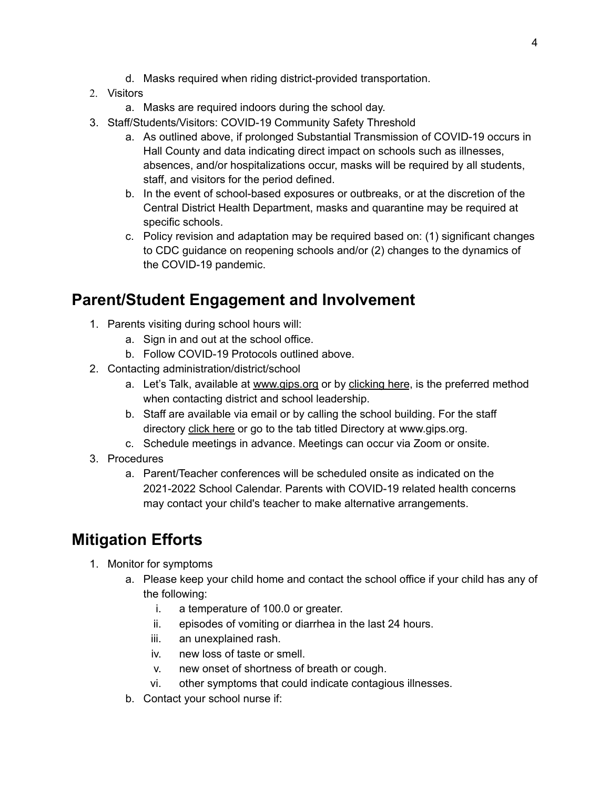- d. Masks required when riding district-provided transportation.
- 2. Visitors
	- a. Masks are required indoors during the school day.
- 3. Staff/Students/Visitors: COVID-19 Community Safety Threshold
	- a. As outlined above, if prolonged Substantial Transmission of COVID-19 occurs in Hall County and data indicating direct impact on schools such as illnesses, absences, and/or hospitalizations occur, masks will be required by all students, staff, and visitors for the period defined.
	- b. In the event of school-based exposures or outbreaks, or at the discretion of the Central District Health Department, masks and quarantine may be required at specific schools.
	- c. Policy revision and adaptation may be required based on: (1) significant changes to CDC guidance on reopening schools and/or (2) changes to the dynamics of the COVID-19 pandemic.

#### <span id="page-6-0"></span>**Parent/Student Engagement and Involvement**

- 1. Parents visiting during school hours will:
	- a. Sign in and out at the school office.
	- b. Follow COVID-19 Protocols outlined above.
- 2. Contacting administration/district/school
	- a. Let's Talk, available at [www.gips.org](http://www.gips.org) or by [clicking](https://www.gips.org/contact-us/) here, is the preferred method when contacting district and school leadership.
	- b. Staff are available via email or by calling the school building. For the staff directory click [here](https://www.gips.org/new-staff-search.html) or go to the tab titled Directory at www.gips.org.
	- c. Schedule meetings in advance. Meetings can occur via Zoom or onsite.
- 3. Procedures
	- a. Parent/Teacher conferences will be scheduled onsite as indicated on the 2021-2022 School Calendar. Parents with COVID-19 related health concerns may contact your child's teacher to make alternative arrangements.

### <span id="page-6-1"></span>**Mitigation Efforts**

- 1. Monitor for symptoms
	- a. Please keep your child home and contact the school office if your child has any of the following:
		- i. a temperature of 100.0 or greater.
		- ii. episodes of vomiting or diarrhea in the last 24 hours.
		- iii. an unexplained rash.
		- iv. new loss of taste or smell.
		- v. new onset of shortness of breath or cough.
		- vi. other symptoms that could indicate contagious illnesses.
	- b. Contact your school nurse if: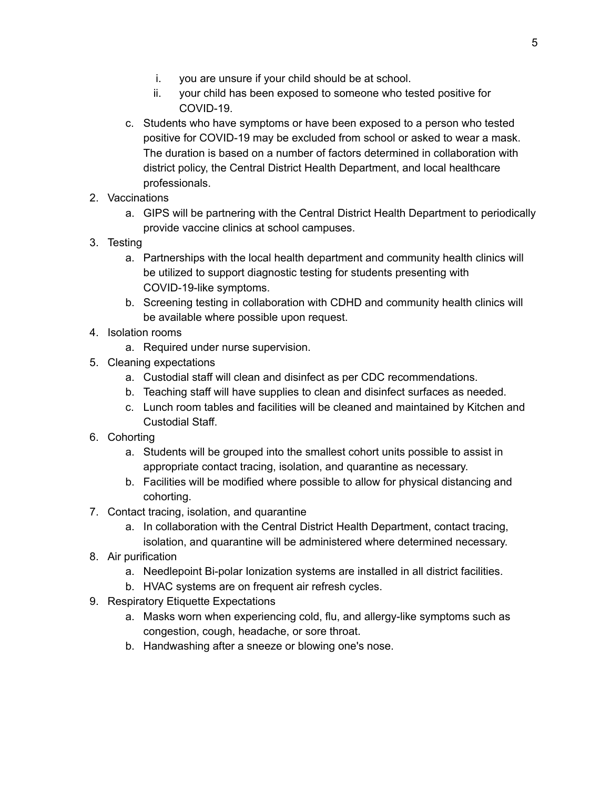- i. you are unsure if your child should be at school.
- ii. your child has been exposed to someone who tested positive for COVID-19.
- c. Students who have symptoms or have been exposed to a person who tested positive for COVID-19 may be excluded from school or asked to wear a mask. The duration is based on a number of factors determined in collaboration with district policy, the Central District Health Department, and local healthcare professionals.
- 2. Vaccinations
	- a. GIPS will be partnering with the Central District Health Department to periodically provide vaccine clinics at school campuses.
- 3. Testing
	- a. Partnerships with the local health department and community health clinics will be utilized to support diagnostic testing for students presenting with COVID-19-like symptoms.
	- b. Screening testing in collaboration with CDHD and community health clinics will be available where possible upon request.
- 4. Isolation rooms
	- a. Required under nurse supervision.
- 5. Cleaning expectations
	- a. Custodial staff will clean and disinfect as per CDC recommendations.
	- b. Teaching staff will have supplies to clean and disinfect surfaces as needed.
	- c. Lunch room tables and facilities will be cleaned and maintained by Kitchen and Custodial Staff.
- 6. Cohorting
	- a. Students will be grouped into the smallest cohort units possible to assist in appropriate contact tracing, isolation, and quarantine as necessary.
	- b. Facilities will be modified where possible to allow for physical distancing and cohorting.
- 7. Contact tracing, isolation, and quarantine
	- a. In collaboration with the Central District Health Department, contact tracing, isolation, and quarantine will be administered where determined necessary.
- 8. Air purification
	- a. Needlepoint Bi-polar Ionization systems are installed in all district facilities.
	- b. HVAC systems are on frequent air refresh cycles.
- 9. Respiratory Etiquette Expectations
	- a. Masks worn when experiencing cold, flu, and allergy-like symptoms such as congestion, cough, headache, or sore throat.
	- b. Handwashing after a sneeze or blowing one's nose.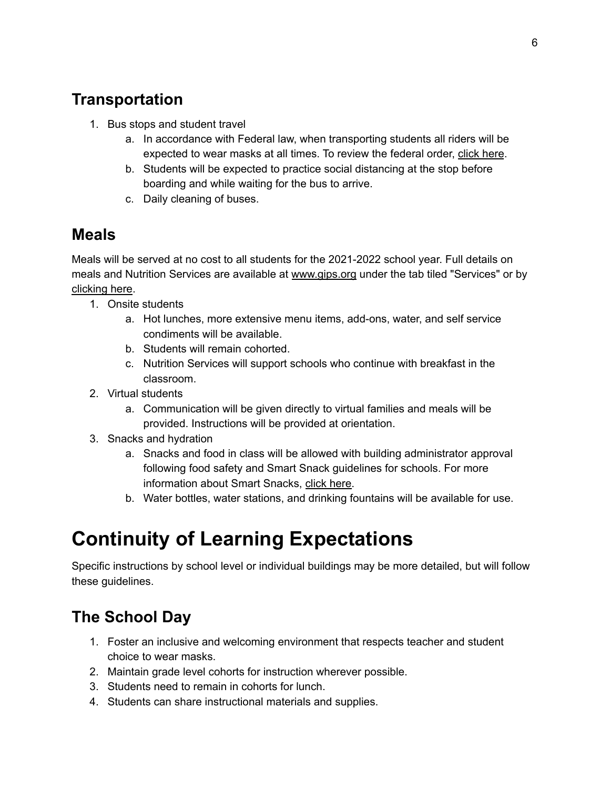### <span id="page-8-0"></span>**Transportation**

- 1. Bus stops and student travel
	- a. In accordance with Federal law, when transporting students all riders will be expected to wear masks at all times. To review the federal order, click [here](https://www.cdc.gov/quarantine/pdf/Mask-Order-CDC_GMTF_01-29-21-p.pdf).
	- b. Students will be expected to practice social distancing at the stop before boarding and while waiting for the bus to arrive.
	- c. Daily cleaning of buses.

### <span id="page-8-1"></span>**Meals**

Meals will be served at no cost to all students for the 2021-2022 school year. Full details on meals and Nutrition Services are available at [www.gips.org](http://www.gips.org) under the tab tiled "Services" or by [clicking](https://www.schoolnutritionandfitness.com/index.php?sid=1552516259365) here.

- 1. Onsite students
	- a. Hot lunches, more extensive menu items, add-ons, water, and self service condiments will be available.
	- b. Students will remain cohorted.
	- c. Nutrition Services will support schools who continue with breakfast in the classroom.
- 2. Virtual students
	- a. Communication will be given directly to virtual families and meals will be provided. Instructions will be provided at orientation.
- 3. Snacks and hydration
	- a. Snacks and food in class will be allowed with building administrator approval following food safety and Smart Snack guidelines for schools. For more information about Smart Snacks, click [here.](https://www.gips.org/assets/site/Nutrition%20Services/smart-snacks-in-school.pdf)
	- b. Water bottles, water stations, and drinking fountains will be available for use.

# <span id="page-8-2"></span>**Continuity of Learning Expectations**

Specific instructions by school level or individual buildings may be more detailed, but will follow these guidelines.

### <span id="page-8-3"></span>**The School Day**

- 1. Foster an inclusive and welcoming environment that respects teacher and student choice to wear masks.
- 2. Maintain grade level cohorts for instruction wherever possible.
- 3. Students need to remain in cohorts for lunch.
- 4. Students can share instructional materials and supplies.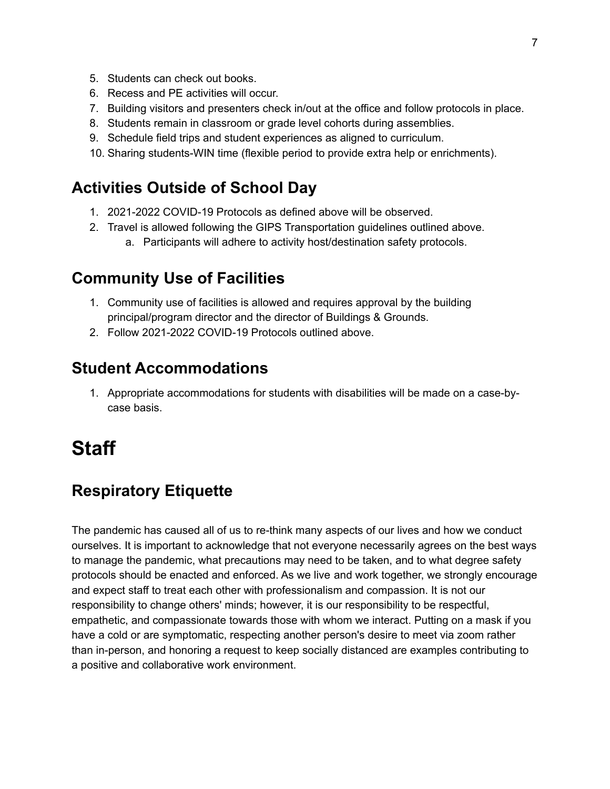- 5. Students can check out books.
- 6. Recess and PE activities will occur.
- 7. Building visitors and presenters check in/out at the office and follow protocols in place.
- 8. Students remain in classroom or grade level cohorts during assemblies.
- 9. Schedule field trips and student experiences as aligned to curriculum.
- 10. Sharing students-WIN time (flexible period to provide extra help or enrichments).

#### <span id="page-9-0"></span>**Activities Outside of School Day**

- 1. 2021-2022 COVID-19 Protocols as defined above will be observed.
- 2. Travel is allowed following the GIPS Transportation guidelines outlined above. a. Participants will adhere to activity host/destination safety protocols.

#### <span id="page-9-1"></span>**Community Use of Facilities**

- 1. Community use of facilities is allowed and requires approval by the building principal/program director and the director of Buildings & Grounds.
- 2. Follow 2021-2022 COVID-19 Protocols outlined above.

#### <span id="page-9-2"></span>**Student Accommodations**

1. Appropriate accommodations for students with disabilities will be made on a case-bycase basis.

# <span id="page-9-3"></span>**Staff**

### <span id="page-9-4"></span>**Respiratory Etiquette**

The pandemic has caused all of us to re-think many aspects of our lives and how we conduct ourselves. It is important to acknowledge that not everyone necessarily agrees on the best ways to manage the pandemic, what precautions may need to be taken, and to what degree safety protocols should be enacted and enforced. As we live and work together, we strongly encourage and expect staff to treat each other with professionalism and compassion. It is not our responsibility to change others' minds; however, it is our responsibility to be respectful, empathetic, and compassionate towards those with whom we interact. Putting on a mask if you have a cold or are symptomatic, respecting another person's desire to meet via zoom rather than in-person, and honoring a request to keep socially distanced are examples contributing to a positive and collaborative work environment.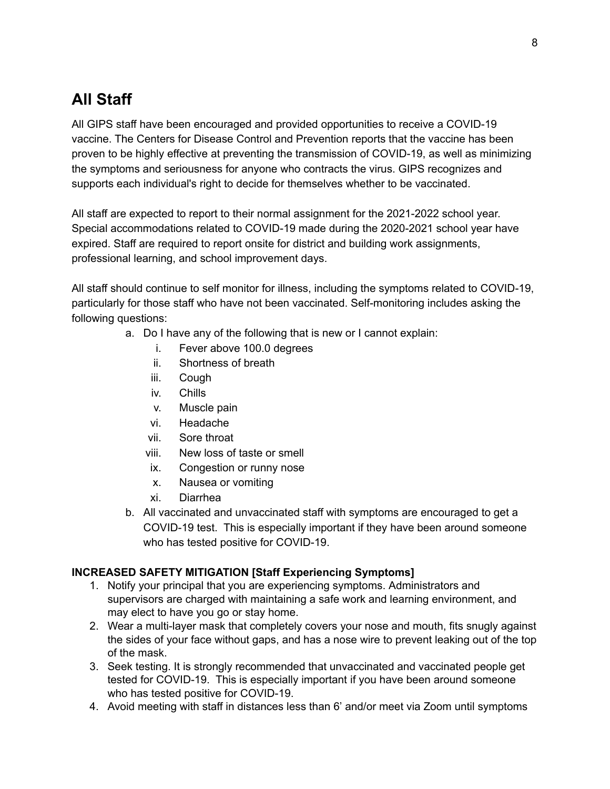### <span id="page-10-0"></span>**All Staff**

All GIPS staff have been encouraged and provided opportunities to receive a COVID-19 vaccine. The Centers for Disease Control and Prevention reports that the vaccine has been proven to be highly effective at preventing the transmission of COVID-19, as well as minimizing the symptoms and seriousness for anyone who contracts the virus. GIPS recognizes and supports each individual's right to decide for themselves whether to be vaccinated.

All staff are expected to report to their normal assignment for the 2021-2022 school year. Special accommodations related to COVID-19 made during the 2020-2021 school year have expired. Staff are required to report onsite for district and building work assignments, professional learning, and school improvement days.

All staff should continue to self monitor for illness, including the symptoms related to COVID-19, particularly for those staff who have not been vaccinated. Self-monitoring includes asking the following questions:

- a. Do I have any of the following that is new or I cannot explain:
	- i. Fever above 100.0 degrees
	- ii. Shortness of breath
	- iii. Cough
	- iv. Chills
	- v. Muscle pain
	- vi. Headache
	- vii. Sore throat
	- viii. New loss of taste or smell
	- ix. Congestion or runny nose
	- x. Nausea or vomiting
	- xi. Diarrhea
- b. All vaccinated and unvaccinated staff with symptoms are encouraged to get a COVID-19 test. This is especially important if they have been around someone who has tested positive for COVID-19.

#### **INCREASED SAFETY MITIGATION [Staff Experiencing Symptoms]**

- 1. Notify your principal that you are experiencing symptoms. Administrators and supervisors are charged with maintaining a safe work and learning environment, and may elect to have you go or stay home.
- 2. Wear a multi-layer mask that completely covers your nose and mouth, fits snugly against the sides of your face without gaps, and has a nose wire to prevent leaking out of the top of the mask.
- 3. Seek testing. It is strongly recommended that unvaccinated and vaccinated people get tested for COVID-19. This is especially important if you have been around someone who has tested positive for COVID-19.
- 4. Avoid meeting with staff in distances less than 6' and/or meet via Zoom until symptoms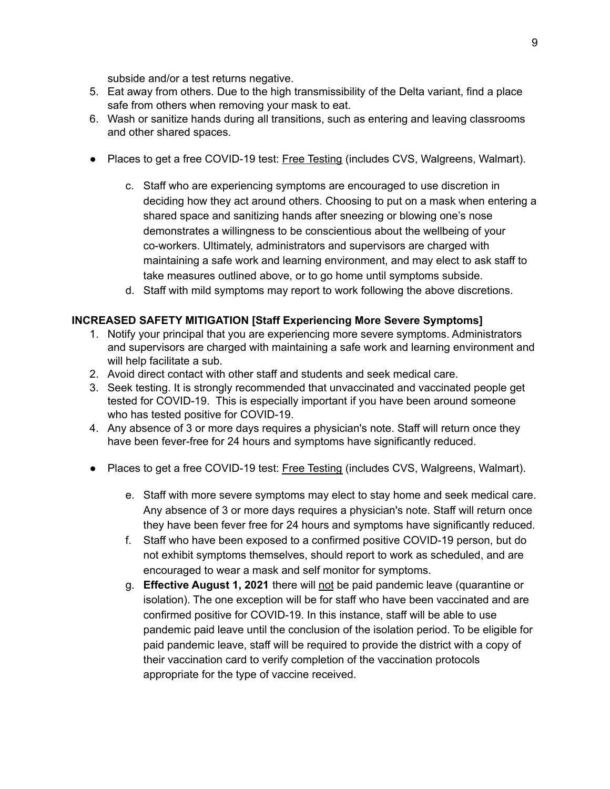subside and/or a test returns negative.

- 5. Eat away from others. Due to the high transmissibility of the Delta variant, find a place safe from others when removing your mask to eat.
- 6. Wash or sanitize hands during all transitions, such as entering and leaving classrooms and other shared spaces.
- Places to get a free COVID-19 test: Free [Testing](https://www.hhs.gov/coronavirus/community-based-testing-sites/index.html) (includes CVS, Walgreens, Walmart).
	- c. Staff who are experiencing symptoms are encouraged to use discretion in deciding how they act around others. Choosing to put on a mask when entering a shared space and sanitizing hands after sneezing or blowing one's nose demonstrates a willingness to be conscientious about the wellbeing of your co-workers. Ultimately, administrators and supervisors are charged with maintaining a safe work and learning environment, and may elect to ask staff to take measures outlined above, or to go home until symptoms subside.
	- d. Staff with mild symptoms may report to work following the above discretions.

#### **INCREASED SAFETY MITIGATION [Staff Experiencing More Severe Symptoms]**

- 1. Notify your principal that you are experiencing more severe symptoms. Administrators and supervisors are charged with maintaining a safe work and learning environment and will help facilitate a sub.
- 2. Avoid direct contact with other staff and students and seek medical care.
- 3. Seek testing. It is strongly recommended that unvaccinated and vaccinated people get tested for COVID-19. This is especially important if you have been around someone who has tested positive for COVID-19.
- 4. Any absence of 3 or more days requires a physician's note. Staff will return once they have been fever-free for 24 hours and symptoms have significantly reduced.
- Places to get a free COVID-19 test: Free [Testing](https://www.hhs.gov/coronavirus/community-based-testing-sites/index.html) (includes CVS, Walgreens, Walmart).
	- e. Staff with more severe symptoms may elect to stay home and seek medical care. Any absence of 3 or more days requires a physician's note. Staff will return once they have been fever free for 24 hours and symptoms have significantly reduced.
	- f. Staff who have been exposed to a confirmed positive COVID-19 person, but do not exhibit symptoms themselves, should report to work as scheduled, and are encouraged to wear a mask and self monitor for symptoms.
	- g. **Effective August 1, 2021** there will not be paid pandemic leave (quarantine or isolation). The one exception will be for staff who have been vaccinated and are confirmed positive for COVID-19. In this instance, staff will be able to use pandemic paid leave until the conclusion of the isolation period. To be eligible for paid pandemic leave, staff will be required to provide the district with a copy of their vaccination card to verify completion of the vaccination protocols appropriate for the type of vaccine received.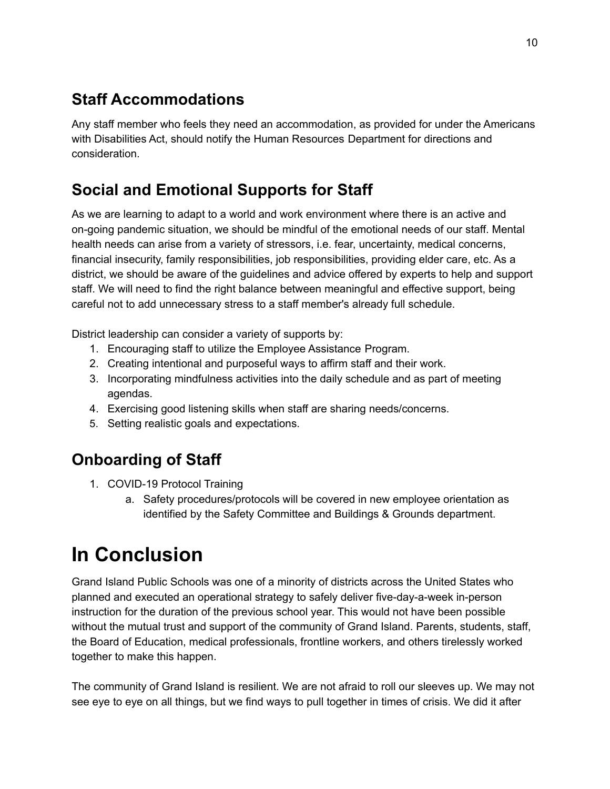### <span id="page-12-0"></span>**Staff Accommodations**

Any staff member who feels they need an accommodation, as provided for under the Americans with Disabilities Act, should notify the Human Resources Department for directions and consideration.

### <span id="page-12-1"></span>**Social and Emotional Supports for Staff**

As we are learning to adapt to a world and work environment where there is an active and on-going pandemic situation, we should be mindful of the emotional needs of our staff. Mental health needs can arise from a variety of stressors, i.e. fear, uncertainty, medical concerns, financial insecurity, family responsibilities, job responsibilities, providing elder care, etc. As a district, we should be aware of the guidelines and advice offered by experts to help and support staff. We will need to find the right balance between meaningful and effective support, being careful not to add unnecessary stress to a staff member's already full schedule.

District leadership can consider a variety of supports by:

- 1. Encouraging staff to utilize the Employee Assistance Program.
- 2. Creating intentional and purposeful ways to affirm staff and their work.
- 3. Incorporating mindfulness activities into the daily schedule and as part of meeting agendas.
- 4. Exercising good listening skills when staff are sharing needs/concerns.
- 5. Setting realistic goals and expectations.

### <span id="page-12-2"></span>**Onboarding of Staff**

- 1. COVID-19 Protocol Training
	- a. Safety procedures/protocols will be covered in new employee orientation as identified by the Safety Committee and Buildings & Grounds department.

# <span id="page-12-3"></span>**In Conclusion**

Grand Island Public Schools was one of a minority of districts across the United States who planned and executed an operational strategy to safely deliver five-day-a-week in-person instruction for the duration of the previous school year. This would not have been possible without the mutual trust and support of the community of Grand Island. Parents, students, staff, the Board of Education, medical professionals, frontline workers, and others tirelessly worked together to make this happen.

The community of Grand Island is resilient. We are not afraid to roll our sleeves up. We may not see eye to eye on all things, but we find ways to pull together in times of crisis. We did it after